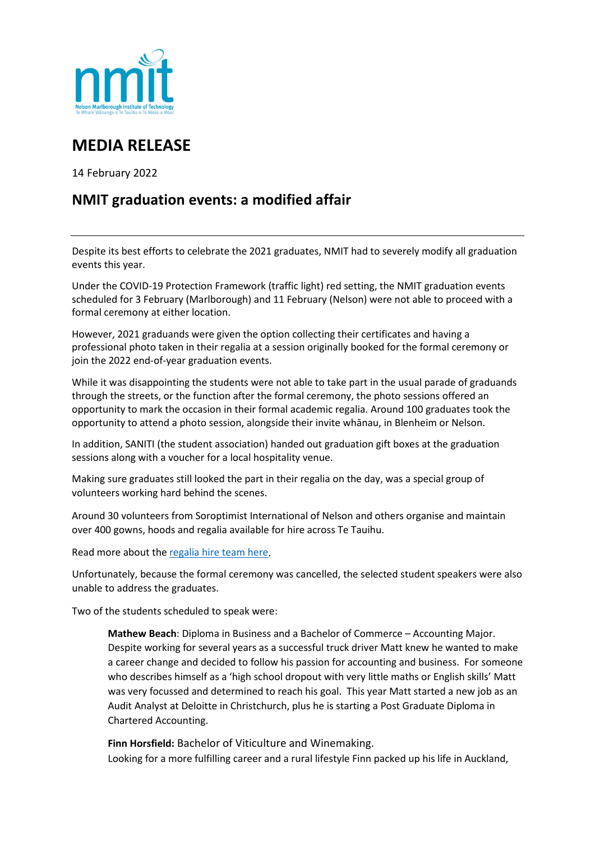

## **MEDIA RELEASE**

14 February 2022

## **NMIT graduation events: a modified affair**

Despite its best efforts to celebrate the 2021 graduates, NMIT had to severely modify all graduation events this year.

Under the COVID-19 Protection Framework (traffic light) red setting, the NMIT graduation events scheduled for 3 February (Marlborough) and 11 February (Nelson) were not able to proceed with a formal ceremony at either location.

However, 2021 graduands were given the option collecting their certificates and having a professional photo taken in their regalia at a session originally booked for the formal ceremony or join the 2022 end-of-year graduation events.

While it was disappointing the students were not able to take part in the usual parade of graduands through the streets, or the function after the formal ceremony, the photo sessions offered an opportunity to mark the occasion in their formal academic regalia. Around 100 graduates took the opportunity to attend a photo session, alongside their invite whānau, in Blenheim or Nelson.

In addition, SANITI (the student association) handed out graduation gift boxes at the graduation sessions along with a voucher for a local hospitality venue.

Making sure graduates still looked the part in their regalia on the day, was a special group of volunteers working hard behind the scenes.

Around 30 volunteers from Soroptimist International of Nelson and others organise and maintain over 400 gowns, hoods and regalia available for hire across Te Tauihu.

Read more about th[e regalia hire team here.](https://www.nmit.ac.nz/news/graduation-dressed-to-celebrate-success-2/)

Unfortunately, because the formal ceremony was cancelled, the selected student speakers were also unable to address the graduates.

Two of the students scheduled to speak were:

**Mathew Beach**: Diploma in Business and a Bachelor of Commerce – Accounting Major. Despite working for several years as a successful truck driver Matt knew he wanted to make a career change and decided to follow his passion for accounting and business. For someone who describes himself as a 'high school dropout with very little maths or English skills' Matt was very focussed and determined to reach his goal. This year Matt started a new job as an Audit Analyst at Deloitte in Christchurch, plus he is starting a Post Graduate Diploma in Chartered Accounting.

**Finn Horsfield:** Bachelor of Viticulture and Winemaking. Looking for a more fulfilling career and a rural lifestyle Finn packed up his life in Auckland,